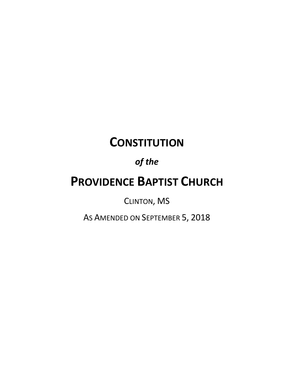# **CONSTITUTION**

# *of the*

# **PROVIDENCE BAPTIST CHURCH**

CLINTON, MS

AS AMENDED ON SEPTEMBER 5, 2018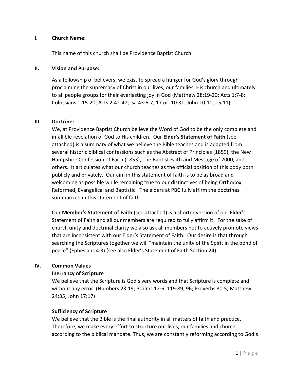## **I. Church Name:**

This name of this church shall be Providence Baptist Church.

## **II. Vision and Purpose:**

As a fellowship of believers, we exist to spread a hunger for God's glory through proclaiming the supremacy of Christ in our lives, our families, His church and ultimately to all people groups for their everlasting joy in God (Matthew 28:19-20; Acts 1:7-8; Colossians 1:15-20; Acts 2:42-47; Isa 43:6-7; 1 Cor. 10:31; John 10:10; 15:11).

## **III. Doctrine:**

We, at Providence Baptist Church believe the Word of God to be the only complete and infallible revelation of God to His children. Our **Elder's Statement of Faith** (see attached) is a summary of what we believe the Bible teaches and is adapted from several historic biblical confessions such as the Abstract of Principles (1859), the New Hampshire Confession of Faith (1853), The Baptist Faith and Message of 2000, and others. It articulates what our church teaches as the official position of this body both publicly and privately. Our aim in this statement of faith is to be as broad and welcoming as possible while remaining true to our distinctives of being Orthodox, Reformed, Evangelical and Baptistic. The elders at PBC fully affirm the doctrines summarized in this statement of faith.

Our **Member's Statement of Faith** (see attached) is a shorter version of our Elder's Statement of Faith and all our members are required to fully affirm it. For the sake of church unity and doctrinal clarity we also ask all members not to actively promote views that are inconsistent with our Elder's Statement of Faith. Our desire is that through searching the Scriptures together we will "maintain the unity of the Spirit in the bond of peace" (Ephesians 4:3) (see also Elder's Statement of Faith Section 24).

# **IV. Common Values**

## **Inerrancy of Scripture**

We believe that the Scripture is God's very words and that Scripture is complete and without any error. (Numbers 23:19; Psalms 12:6; 119:89, 96; Proverbs 30:5; Matthew 24:35; John 17:17)

## **Sufficiency of Scripture**

We believe that the Bible is the final authority in all matters of faith and practice. Therefore, we make every effort to structure our lives, our families and church according to the biblical mandate. Thus, we are constantly reforming according to God's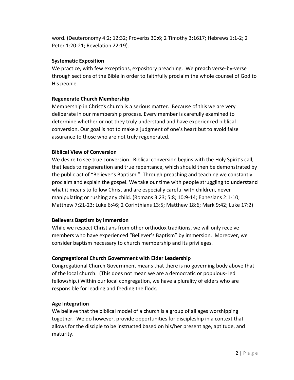word. (Deuteronomy 4:2; 12:32; Proverbs 30:6; 2 Timothy 3:1617; Hebrews 1:1-2; 2 Peter 1:20-21; Revelation 22:19).

# **Systematic Exposition**

We practice, with few exceptions, expository preaching. We preach verse-by-verse through sections of the Bible in order to faithfully proclaim the whole counsel of God to His people.

# **Regenerate Church Membership**

Membership in Christ's church is a serious matter. Because of this we are very deliberate in our membership process. Every member is carefully examined to determine whether or not they truly understand and have experienced biblical conversion. Our goal is not to make a judgment of one's heart but to avoid false assurance to those who are not truly regenerated.

# **Biblical View of Conversion**

We desire to see true conversion. Biblical conversion begins with the Holy Spirit's call, that leads to regeneration and true repentance, which should then be demonstrated by the public act of "Believer's Baptism." Through preaching and teaching we constantly proclaim and explain the gospel. We take our time with people struggling to understand what it means to follow Christ and are especially careful with children, never manipulating or rushing any child. (Romans 3:23; 5:8; 10:9-14; Ephesians 2:1-10; Matthew 7:21-23; Luke 6:46; 2 Corinthians 13:5; Matthew 18:6; Mark 9:42; Luke 17:2)

# **Believers Baptism by Immersion**

While we respect Christians from other orthodox traditions, we will only receive members who have experienced "Believer's Baptism" by immersion. Moreover, we consider baptism necessary to church membership and its privileges.

# **Congregational Church Government with Elder Leadership**

Congregational Church Government means that there is no governing body above that of the local church. (This does not mean we are a democratic or populous- led fellowship.) Within our local congregation, we have a plurality of elders who are responsible for leading and feeding the flock.

# **Age Integration**

We believe that the biblical model of a church is a group of all ages worshipping together. We do however, provide opportunities for discipleship in a context that allows for the disciple to be instructed based on his/her present age, aptitude, and maturity.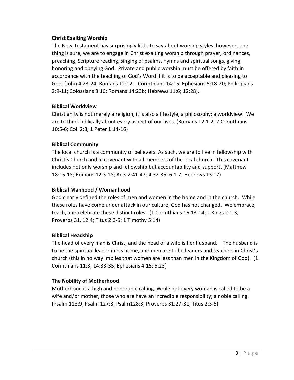## **Christ Exalting Worship**

The New Testament has surprisingly little to say about worship styles; however, one thing is sure, we are to engage in Christ exalting worship through prayer, ordinances, preaching, Scripture reading, singing of psalms, hymns and spiritual songs, giving, honoring and obeying God. Private and public worship must be offered by faith in accordance with the teaching of God's Word if it is to be acceptable and pleasing to God. (John 4:23-24; Romans 12:12; I Corinthians 14:15; Ephesians 5:18-20; Philippians 2:9-11; Colossians 3:16; Romans 14:23b; Hebrews 11:6; 12:28).

## **Biblical Worldview**

Christianity is not merely a religion, it is also a lifestyle, a philosophy; a worldview. We are to think biblically about every aspect of our lives. (Romans 12:1-2; 2 Corinthians 10:5-6; Col. 2:8; 1 Peter 1:14-16)

# **Biblical Community**

The local church is a community of believers. As such, we are to live in fellowship with Christ's Church and in covenant with all members of the local church. This covenant includes not only worship and fellowship but accountability and support. (Matthew 18:15-18; Romans 12:3-18; Acts 2:41-47; 4:32-35; 6:1-7; Hebrews 13:17)

## **Biblical Manhood / Womanhood**

God clearly defined the roles of men and women in the home and in the church. While these roles have come under attack in our culture, God has not changed. We embrace, teach, and celebrate these distinct roles. (1 Corinthians 16:13-14; 1 Kings 2:1-3; Proverbs 31, 12:4; Titus 2:3-5; 1 Timothy 5:14)

## **Biblical Headship**

The head of every man is Christ, and the head of a wife is her husband. The husband is to be the spiritual leader in his home, and men are to be leaders and teachers in Christ's church (this in no way implies that women are less than men in the Kingdom of God). (1 Corinthians 11:3; 14:33-35; Ephesians 4:15; 5:23)

# **The Nobility of Motherhood**

Motherhood is a high and honorable calling. While not every woman is called to be a wife and/or mother, those who are have an incredible responsibility; a noble calling. (Psalm 113:9; Psalm 127:3; Psalm128:3; Proverbs 31:27-31; Titus 2:3-5)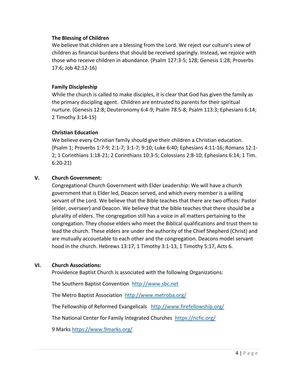## **The Blessing of Children**

We believe that children are a blessing from the Lord. We reject our culture's view of children as financial burdens that should be received sparingly. Instead, we rejoice with those who receive children in abundance. (Psalm 127:3-5; 128; Genesis 1:28; Proverbs 17:6; Job 42:12-16)

## **Family Discipleship**

While the church is called to make disciples, it is clear that God has given the family as the primary discipling agent. Children are entrusted to parents for their spiritual nurture. (Genesis 12:8; Deuteronomy 6:4-9; Psalm 78:5-8; Psalm 113:3; Ephesians 6:14; 2 Timothy 3:14-15)

## **Christian Education**

We believe every Christian family should give their children a Christian education. (Psalm 1; Proverbs 1:7-9; 2:1-7; 3:1-7; 9:10; Luke 6:40; Ephesians 4:11-16; Romans 12:1- 2; 1 Corinthians 1:18-21; 2 Corinthians 10:3-5; Colossians 2:8-10; Ephesians 6:14; 1 Tim. 6:20-21)

# **V. Church Government:**

Congregational Church Government with Elder Leadership: We will have a church government that is Elder led, Deacon served, and which every member is a willing servant of the Lord. We believe that the Bible teaches that there are two offices: Pastor (elder, overseer) and Deacon. We believe that the bible teaches that there should be a plurality of elders. The congregation still has a voice in all matters pertaining to the congregation. They choose elders who meet the Biblical qualifications and trust them to lead the church. These elders are under the authority of the Chief Shepherd (Christ) and are mutually accountable to each other and the congregation. Deacons model servant hood in the church. Hebrews 13:17, 1 Timothy 3:1-13, 1 Timothy 5:17, Acts 6.

## **VI. Church Associations:**

Providence Baptist Church is associated with the following Organizations:

The Southern Baptist Convention [http://www.sbc.net](http://www.sbc.net/)

The Metro Baptist Association <http://www.metroba.org/>

The Fellowship of Reformed Evangelicals <http://www.firefellowship.org/>

The National Center for Family Integrated Churches <https://ncfic.org/>

9 Marks<https://www.9marks.org/>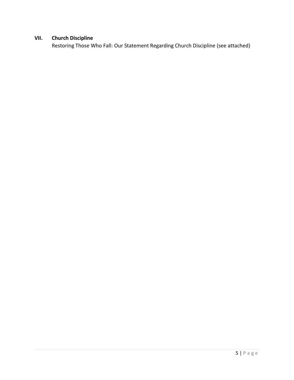# **VII. Church Discipline**

Restoring Those Who Fall: Our Statement Regarding Church Discipline (see attached)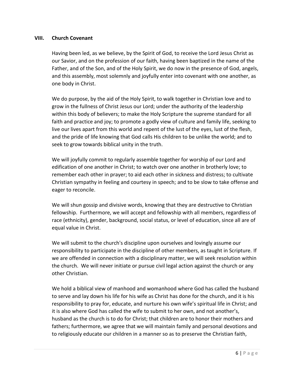## **VIII. Church Covenant**

Having been led, as we believe, by the Spirit of God, to receive the Lord Jesus Christ as our Savior, and on the profession of our faith, having been baptized in the name of the Father, and of the Son, and of the Holy Spirit, we do now in the presence of God, angels, and this assembly, most solemnly and joyfully enter into covenant with one another, as one body in Christ.

We do purpose, by the aid of the Holy Spirit, to walk together in Christian love and to grow in the fullness of Christ Jesus our Lord; under the authority of the leadership within this body of believers; to make the Holy Scripture the supreme standard for all faith and practice and joy; to promote a godly view of culture and family life, seeking to live our lives apart from this world and repent of the lust of the eyes, lust of the flesh, and the pride of life knowing that God calls His children to be unlike the world; and to seek to grow towards biblical unity in the truth.

We will joyfully commit to regularly assemble together for worship of our Lord and edification of one another in Christ; to watch over one another in brotherly love; to remember each other in prayer; to aid each other in sickness and distress; to cultivate Christian sympathy in feeling and courtesy in speech; and to be slow to take offense and eager to reconcile.

We will shun gossip and divisive words, knowing that they are destructive to Christian fellowship. Furthermore, we will accept and fellowship with all members, regardless of race (ethnicity), gender, background, social status, or level of education, since all are of equal value in Christ.

We will submit to the church's discipline upon ourselves and lovingly assume our responsibility to participate in the discipline of other members, as taught in Scripture. If we are offended in connection with a disciplinary matter, we will seek resolution within the church. We will never initiate or pursue civil legal action against the church or any other Christian.

We hold a biblical view of manhood and womanhood where God has called the husband to serve and lay down his life for his wife as Christ has done for the church, and it is his responsibility to pray for, educate, and nurture his own wife's spiritual life in Christ; and it is also where God has called the wife to submit to her own, and not another's, husband as the church is to do for Christ; that children are to honor their mothers and fathers; furthermore, we agree that we will maintain family and personal devotions and to religiously educate our children in a manner so as to preserve the Christian faith,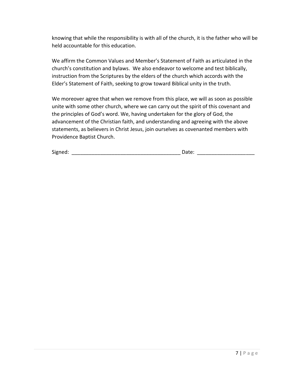knowing that while the responsibility is with all of the church, it is the father who will be held accountable for this education.

We affirm the Common Values and Member's Statement of Faith as articulated in the church's constitution and bylaws. We also endeavor to welcome and test biblically, instruction from the Scriptures by the elders of the church which accords with the Elder's Statement of Faith, seeking to grow toward Biblical unity in the truth.

We moreover agree that when we remove from this place, we will as soon as possible unite with some other church, where we can carry out the spirit of this covenant and the principles of God's word. We, having undertaken for the glory of God, the advancement of the Christian faith, and understanding and agreeing with the above statements, as believers in Christ Jesus, join ourselves as covenanted members with Providence Baptist Church.

| Signed: |  |
|---------|--|

 $\blacksquare$  Date: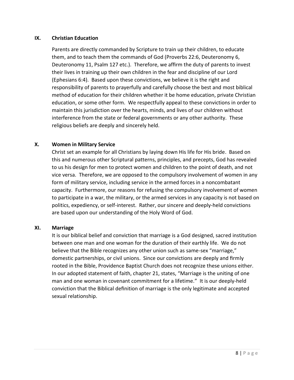## **IX. Christian Education**

Parents are directly commanded by Scripture to train up their children, to educate them, and to teach them the commands of God (Proverbs 22:6, Deuteronomy 6, Deuteronomy 11, Psalm 127 etc.). Therefore, we affirm the duty of parents to invest their lives in training up their own children in the fear and discipline of our Lord (Ephesians 6:4). Based upon these convictions, we believe it is the right and responsibility of parents to prayerfully and carefully choose the best and most biblical method of education for their children whether it be home education, private Christian education, or some other form. We respectfully appeal to these convictions in order to maintain this jurisdiction over the hearts, minds, and lives of our children without interference from the state or federal governments or any other authority. These religious beliefs are deeply and sincerely held.

## **X. Women in Military Service**

Christ set an example for all Christians by laying down His life for His bride. Based on this and numerous other Scriptural patterns, principles, and precepts, God has revealed to us his design for men to protect women and children to the point of death, and not vice versa. Therefore, we are opposed to the compulsory involvement of women in any form of military service, including service in the armed forces in a noncombatant capacity. Furthermore, our reasons for refusing the compulsory involvement of women to participate in a war, the military, or the armed services in any capacity is not based on politics, expediency, or self-interest. Rather, our sincere and deeply-held convictions are based upon our understanding of the Holy Word of God.

## **XI. Marriage**

It is our biblical belief and conviction that marriage is a God designed, sacred institution between one man and one woman for the duration of their earthly life. We do not believe that the Bible recognizes any other union such as same-sex "marriage," domestic partnerships, or civil unions. Since our convictions are deeply and firmly rooted in the Bible, Providence Baptist Church does not recognize these unions either. In our adopted statement of faith, chapter 21, states, "Marriage is the uniting of one man and one woman in covenant commitment for a lifetime." It is our deeply-held conviction that the Biblical definition of marriage is the only legitimate and accepted sexual relationship.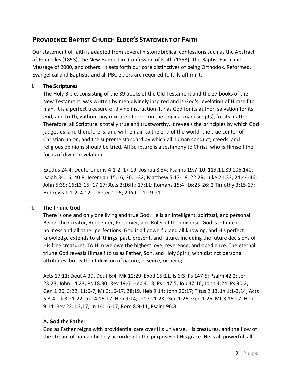# **PROVIDENCE BAPTIST CHURCH ELDER'S STATEMENT OF FAITH**

Our statement of faith is adapted from several historic biblical confessions such as the Abstract of Principles (1858), the New Hampshire Confession of Faith (1853), The Baptist Faith and Message of 2000, and others. It sets forth our core distinctives of being Orthodox, Reformed, Evangelical and Baptistic and all PBC elders are required to fully affirm it.

# I. **The Scriptures**

The Holy Bible, consisting of the 39 books of the Old Testament and the 27 books of the New Testament, was written by men divinely inspired and is God's revelation of Himself to man. It is a perfect treasure of divine instruction. It has God for its author, salvation for its end, and truth, without any mixture of error (in the original manuscripts), for its matter. Therefore, all Scripture is totally true and trustworthy. It reveals the principles by which God judges us, and therefore is, and will remain to the end of the world, the true center of Christian union, and the supreme standard by which all human conduct, creeds, and religious opinions should be tried. All Scripture is a testimony to Christ, who is Himself the focus of divine revelation.

Exodus 24:4; Deuteronomy 4:1-2; 17:19; Joshua 8:34; Psalms 19:7-10; 119:11,89,105,140; Isaiah 34:16; 40:8; Jeremiah 15:16; 36:1-32; Matthew 5:17-18; 22:29; Luke 21:33; 24:44-46; John 5:39; 16:13-15; 17:17; Acts 2:16ff.; 17:11; Romans 15:4; 16:25-26; 2 Timothy 3:15-17; Hebrews 1:1-2; 4:12; 1 Peter 1:25; 2 Peter 1:19-21.

# II. **The Triune God**

There is one and only one living and true God. He is an intelligent, spiritual, and personal Being, the Creator, Redeemer, Preserver, and Ruler of the universe. God is infinite in holiness and all other perfections. God is all powerful and all knowing; and His perfect knowledge extends to all things, past, present, and future, including the future decisions of His free creatures. To Him we owe the highest love, reverence, and obedience. The eternal triune God reveals Himself to us as Father, Son, and Holy Spirit, with distinct personal attributes, but without division of nature, essence, or being.

Acts 17:11; Deut 4:39, Deut 6:4, Mk 12:29; Exod 15:11, Is 6:3, Ps 147:5; Psalm 42:2; Jer 23:23, John 14:23; Ps 18:30; Rev 19:6; Heb 4:13, Ps 147:5, Job 37:16; John 4:24; Ps 90:2; Gen 1:26, 3:22, 11:6-7, Mt 3:16-17, 28:19, Heb 9:14; John 20:17; Titus 2:13, Jn 1:1-3,14; Acts 5:3-4; Lk 3:21-22, Jn 14:16-17, Heb 9:14; Jn17:21-23, Gen 1:26; Gen 1:26, Mt 3:16-17, Heb 9:14, Rev 22:1,3,17; Jn 14:16-17; Rom 8:9-11; Psalm 96:8.

# **A. God the Father**

God as Father reigns with providential care over His universe, His creatures, and the flow of the stream of human history according to the purposes of His grace. He is all powerful, all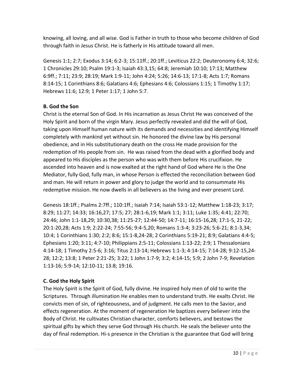knowing, all loving, and all wise. God is Father in truth to those who become children of God through faith in Jesus Christ. He is fatherly in His attitude toward all men.

Genesis 1:1; 2:7; Exodus 3:14; 6:2-3; 15:11ff.; 20:1ff.; Leviticus 22:2; Deuteronomy 6:4; 32:6; 1 Chronicles 29:10; Psalm 19:1-3; Isaiah 43:3,15; 64:8; Jeremiah 10:10; 17:13; Matthew 6:9ff.; 7:11; 23:9; 28:19; Mark 1:9-11; John 4:24; 5:26; 14:6-13; 17:1-8; Acts 1:7; Romans 8:14-15; 1 Corinthians 8:6; Galatians 4:6; Ephesians 4:6; Colossians 1:15; 1 Timothy 1:17; Hebrews 11:6; 12:9; 1 Peter 1:17; 1 John 5:7.

# **B. God the Son**

Christ is the eternal Son of God. In His incarnation as Jesus Christ He was conceived of the Holy Spirit and born of the virgin Mary. Jesus perfectly revealed and did the will of God, taking upon Himself human nature with its demands and necessities and identifying Himself completely with mankind yet without sin. He honored the divine law by His personal obedience, and in His substitutionary death on the cross He made provision for the redemption of His people from sin. He was raised from the dead with a glorified body and appeared to His disciples as the person who was with them before His crucifixion. He ascended into heaven and is now exalted at the right hand of God where He is the One Mediator, fully God, fully man, in whose Person is effected the reconciliation between God and man. He will return in power and glory to judge the world and to consummate His redemptive mission. He now dwells in all believers as the living and ever present Lord.

Genesis 18:1ff.; Psalms 2:7ff.; 110:1ff.; Isaiah 7:14; Isaiah 53:1-12; Matthew 1:18-23; 3:17; 8:29; 11:27; 14:33; 16:16,27; 17:5; 27; 28:1-6,19; Mark 1:1; 3:11; Luke 1:35; 4:41; 22:70; 24:46; John 1:1-18,29; 10:30,38; 11:25-27; 12:44-50; 14:7-11; 16:15-16,28; 17:1-5, 21-22; 20:1-20,28; Acts 1:9; 2:22-24; 7:55-56; 9:4-5,20; Romans 1:3-4; 3:23-26; 5:6-21; 8:1-3,34; 10:4; 1 Corinthians 1:30; 2:2; 8:6; 15:1-8,24-28; 2 Corinthians 5:19-21; 8:9; Galatians 4:4-5; Ephesians 1:20; 3:11; 4:7-10; Philippians 2:5-11; Colossians 1:13-22; 2:9; 1 Thessalonians 4:14-18; 1 Timothy 2:5-6; 3:16; Titus 2:13-14; Hebrews 1:1-3; 4:14-15; 7:14-28; 9:12-15,24- 28; 12:2; 13:8; 1 Peter 2:21-25; 3:22; 1 John 1:7-9; 3:2; 4:14-15; 5:9; 2 John 7-9; Revelation 1:13-16; 5:9-14; 12:10-11; 13:8; 19:16.

# **C. God the Holy Spirit**

The Holy Spirit is the Spirit of God, fully divine. He inspired holy men of old to write the Scriptures. Through illumination He enables men to understand truth. He exalts Christ. He convicts men of sin, of righteousness, and of judgment. He calls men to the Savior, and effects regeneration. At the moment of regeneration He baptizes every believer into the Body of Christ. He cultivates Christian character, comforts believers, and bestows the spiritual gifts by which they serve God through His church. He seals the believer unto the day of final redemption. Hi-s presence in the Christian is the guarantee that God will bring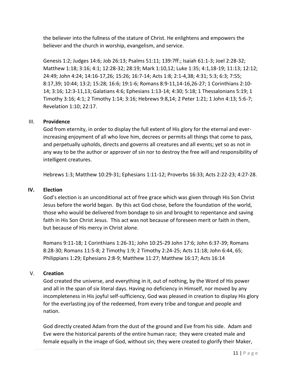the believer into the fullness of the stature of Christ. He enlightens and empowers the believer and the church in worship, evangelism, and service.

Genesis 1:2; Judges 14:6; Job 26:13; Psalms 51:11; 139:7ff.; Isaiah 61:1-3; Joel 2:28-32; Matthew 1:18; 3:16; 4:1; 12:28-32; 28:19; Mark 1:10,12; Luke 1:35; 4:1,18-19; 11:13; 12:12; 24:49; John 4:24; 14:16-17,26; 15:26; 16:7-14; Acts 1:8; 2:1-4,38; 4:31; 5:3; 6:3; 7:55; 8:17,39; 10:44; 13:2; 15:28; 16:6; 19:1-6; Romans 8:9-11,14-16,26-27; 1 Corinthians 2:10- 14; 3:16; 12:3-11,13; Galatians 4:6; Ephesians 1:13-14; 4:30; 5:18; 1 Thessalonians 5:19; 1 Timothy 3:16; 4:1; 2 Timothy 1:14; 3:16; Hebrews 9:8,14; 2 Peter 1:21; 1 John 4:13; 5:6-7; Revelation 1:10; 22:17.

## III. **Providence**

God from eternity, in order to display the full extent of His glory for the eternal and everincreasing enjoyment of all who love him, decrees or permits all things that come to pass, and perpetually upholds, directs and governs all creatures and all events; yet so as not in any way to be the author or approver of sin nor to destroy the free will and responsibility of intelligent creatures.

Hebrews 1:3; Matthew 10:29-31; Ephesians 1:11-12; Proverbs 16:33; Acts 2:22-23; 4:27-28.

## **IV. Election**

God's election is an unconditional act of free grace which was given through His Son Christ Jesus before the world began. By this act God chose, before the foundation of the world, those who would be delivered from bondage to sin and brought to repentance and saving faith in His Son Christ Jesus. This act was not because of foreseen merit or faith in them, but because of His mercy in Christ alone.

Romans 9:11-18; 1 Corinthians 1:26-31; John 10:25-29 John 17:6; John 6:37-39; Romans 8:28-30; Romans 11:5-8; 2 Timothy 1:9; 2 Timothy 2:24-25; Acts 11:18; John 6:44, 65; Philippians 1:29; Ephesians 2:8-9; Matthew 11:27; Matthew 16:17; Acts 16:14

# V. **Creation**

God created the universe, and everything in it, out of nothing, by the Word of His power and all in the span of six literal days. Having no deficiency in Himself, nor moved by any incompleteness in His joyful self-sufficiency, God was pleased in creation to display His glory for the everlasting joy of the redeemed, from every tribe and tongue and people and nation.

God directly created Adam from the dust of the ground and Eve from his side. Adam and Eve were the historical parents of the entire human race; they were created male and female equally in the image of God, without sin; they were created to glorify their Maker,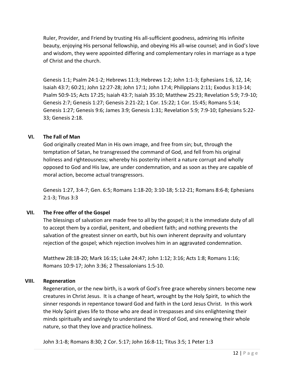Ruler, Provider, and Friend by trusting His all-sufficient goodness, admiring His infinite beauty, enjoying His personal fellowship, and obeying His all-wise counsel; and in God's love and wisdom, they were appointed differing and complementary roles in marriage as a type of Christ and the church.

Genesis 1:1; Psalm 24:1-2; Hebrews 11:3; Hebrews 1:2; John 1:1-3; Ephesians 1:6, 12, 14; Isaiah 43:7; 60:21; John 12:27-28; John 17:1; John 17:4; Philippians 2:11; Exodus 3:13-14; Psalm 50:9-15; Acts 17:25; Isaiah 43:7; Isaiah 35:10; Matthew 25:23; Revelation 5:9; 7:9-10; Genesis 2:7; Genesis 1:27; Genesis 2:21-22; 1 Cor. 15:22; 1 Cor. 15:45; Romans 5:14; Genesis 1:27; Genesis 9:6; James 3:9; Genesis 1:31; Revelation 5:9; 7:9-10; Ephesians 5:22- 33; Genesis 2:18.

# **VI. The Fall of Man**

God originally created Man in His own image, and free from sin; but, through the temptation of Satan, he transgressed the command of God, and fell from his original holiness and righteousness; whereby his posterity inherit a nature corrupt and wholly opposed to God and His law, are under condemnation, and as soon as they are capable of moral action, become actual transgressors.

Genesis 1:27, 3:4-7; Gen. 6:5; Romans 1:18-20; 3:10-18; 5:12-21; Romans 8:6-8; Ephesians 2:1-3; Titus 3:3

# **VII. The Free offer of the Gospel**

The blessings of salvation are made free to all by the gospel; it is the immediate duty of all to accept them by a cordial, penitent, and obedient faith; and nothing prevents the salvation of the greatest sinner on earth, but his own inherent depravity and voluntary rejection of the gospel; which rejection involves him in an aggravated condemnation.

Matthew 28:18-20; Mark 16:15; Luke 24:47; John 1:12; 3:16; Acts 1:8; Romans 1:16; Romans 10:9-17; John 3:36; 2 Thessalonians 1:5-10.

# **VIII. Regeneration**

Regeneration, or the new birth, is a work of God's free grace whereby sinners become new creatures in Christ Jesus. It is a change of heart, wrought by the Holy Spirit, to which the sinner responds in repentance toward God and faith in the Lord Jesus Christ. In this work the Holy Spirit gives life to those who are dead in trespasses and sins enlightening their minds spiritually and savingly to understand the Word of God, and renewing their whole nature, so that they love and practice holiness.

John 3:1-8; Romans 8:30; 2 Cor. 5:17; John 16:8-11; Titus 3:5; 1 Peter 1:3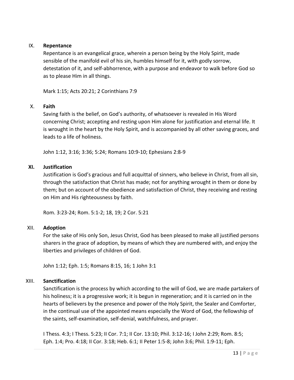## IX. **Repentance**

Repentance is an evangelical grace, wherein a person being by the Holy Spirit, made sensible of the manifold evil of his sin, humbles himself for it, with godly sorrow, detestation of it, and self-abhorrence, with a purpose and endeavor to walk before God so as to please Him in all things.

Mark 1:15; Acts 20:21; 2 Corinthians 7:9

## X. **Faith**

Saving faith is the belief, on God's authority, of whatsoever is revealed in His Word concerning Christ; accepting and resting upon Him alone for justification and eternal life. It is wrought in the heart by the Holy Spirit, and is accompanied by all other saving graces, and leads to a life of holiness.

John 1:12, 3:16; 3:36; 5:24; Romans 10:9-10; Ephesians 2:8-9

## **XI. Justification**

Justification is God's gracious and full acquittal of sinners, who believe in Christ, from all sin, through the satisfaction that Christ has made; not for anything wrought in them or done by them; but on account of the obedience and satisfaction of Christ, they receiving and resting on Him and His righteousness by faith.

Rom. 3:23-24; Rom. 5:1-2; 18, 19; 2 Cor. 5:21

## XII. **Adoption**

For the sake of His only Son, Jesus Christ, God has been pleased to make all justified persons sharers in the grace of adoption, by means of which they are numbered with, and enjoy the liberties and privileges of children of God.

John 1:12; Eph. 1:5; Romans 8:15, 16; 1 John 3:1

## XIII. **Sanctification**

Sanctification is the process by which according to the will of God, we are made partakers of his holiness; it is a progressive work; it is begun in regeneration; and it is carried on in the hearts of believers by the presence and power of the Holy Spirit, the Sealer and Comforter, in the continual use of the appointed means especially the Word of God, the fellowship of the saints, self-examination, self-denial, watchfulness, and prayer.

I Thess. 4:3; I Thess. 5:23; II Cor. 7:1; II Cor. 13:10; Phil. 3:12-16; I John 2:29; Rom. 8:5; Eph. 1:4; Pro. 4:18; II Cor. 3:18; Heb. 6:1; II Peter 1:5-8; John 3:6; Phil. 1:9-11; Eph.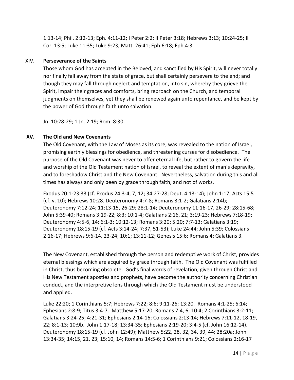1:13-14; Phil. 2:12-13; Eph. 4:11-12; I Peter 2:2; II Peter 3:18; Hebrews 3:13; 10:24-25; II Cor. 13:5; Luke 11:35; Luke 9:23; Matt. 26:41; Eph.6:18; Eph.4:3

## XIV. **Perseverance of the Saints**

Those whom God has accepted in the Beloved, and sanctified by His Spirit, will never totally nor finally fall away from the state of grace, but shall certainly persevere to the end; and though they may fall through neglect and temptation, into sin, whereby they grieve the Spirit, impair their graces and comforts, bring reproach on the Church, and temporal judgments on themselves, yet they shall be renewed again unto repentance, and be kept by the power of God through faith unto salvation.

Jn. 10:28-29; 1 Jn. 2:19; Rom. 8:30.

## **XV. The Old and New Covenants**

The Old Covenant, with the Law of Moses as its core, was revealed to the nation of Israel, promising earthly blessings for obedience, and threatening curses for disobedience. The purpose of the Old Covenant was never to offer eternal life, but rather to govern the life and worship of the Old Testament nation of Israel, to reveal the extent of man's depravity, and to foreshadow Christ and the New Covenant. Nevertheless, salvation during this and all times has always and only been by grace through faith, and not of works.

Exodus 20:1-23:33 (cf. Exodus 24:3-4, 7, 12; 34:27-28; Deut. 4:13-14); John 1:17; Acts 15:5 (cf. v. 10); Hebrews 10:28. Deuteronomy 4:7-8; Romans 3:1-2; Galatians 2:14b; Deuteronomy 7:12-24; 11:13-15, 26-29; 28:1-14; Deuteronomy 11:16-17, 26-29; 28:15-68; John 5:39-40; Romans 3:19-22; 8:3; 10:1-4; Galatians 2:16, 21; 3:19-23; Hebrews 7:18-19; Deuteronomy 4:5-6, 14; 6:1-3; 10:12-13; Romans 3:20; 5:20; 7:7-13; Galatians 3:19; Deuteronomy 18:15-19 (cf. Acts 3:14-24; 7:37, 51-53); Luke 24:44; John 5:39; Colossians 2:16-17; Hebrews 9:6-14, 23-24; 10:1; 13:11-12; Genesis 15:6; Romans 4; Galatians 3.

The New Covenant, established through the person and redemptive work of Christ, provides eternal blessings which are acquired by grace through faith. The Old Covenant was fulfilled in Christ, thus becoming obsolete. God's final words of revelation, given through Christ and His New Testament apostles and prophets, have become the authority concerning Christian conduct, and the interpretive lens through which the Old Testament must be understood and applied.

Luke 22:20; 1 Corinthians 5:7; Hebrews 7:22; 8:6; 9:11-26; 13:20. Romans 4:1-25; 6:14; Ephesians 2:8-9; Titus 3:4-7. Matthew 5:17-20; Romans 7:4, 6; 10:4; 2 Corinthians 3:2-11; Galatians 3:24-25; 4:21-31; Ephesians 2:14-16; Colossians 2:13-14; Hebrews 7:11-12, 18-19, 22; 8:1-13; 10:9b. John 1:17-18; 13:34-35; Ephesians 2:19-20; 3:4-5 (cf. John 16:12-14). Deuteronomy 18:15-19 (cf. John 12:49); Matthew 5:22, 28, 32, 34, 39, 44; 28:20a; John 13:34-35; 14:15, 21, 23; 15:10, 14; Romans 14:5-6; 1 Corinthians 9:21; Colossians 2:16-17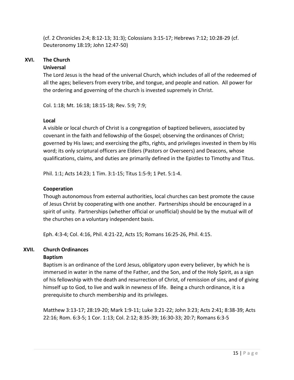(cf. 2 Chronicles 2:4; 8:12-13; 31:3); Colossians 3:15-17; Hebrews 7:12; 10:28-29 (cf. Deuteronomy 18:19; John 12:47-50)

# **XVI. The Church**

# **Universal**

The Lord Jesus is the head of the universal Church, which includes of all of the redeemed of all the ages; believers from every tribe, and tongue, and people and nation. All power for the ordering and governing of the church is invested supremely in Christ.

Col. 1:18; Mt. 16:18; 18:15-18; Rev. 5:9; 7:9;

# **Local**

A visible or local church of Christ is a congregation of baptized believers, associated by covenant in the faith and fellowship of the Gospel; observing the ordinances of Christ; governed by His laws; and exercising the gifts, rights, and privileges invested in them by His word; its only scriptural officers are Elders (Pastors or Overseers) and Deacons, whose qualifications, claims, and duties are primarily defined in the Epistles to Timothy and Titus.

Phil. 1:1; Acts 14:23; 1 Tim. 3:1-15; Titus 1:5-9; 1 Pet. 5:1-4.

# **Cooperation**

Though autonomous from external authorities, local churches can best promote the cause of Jesus Christ by cooperating with one another. Partnerships should be encouraged in a spirit of unity. Partnerships (whether official or unofficial) should be by the mutual will of the churches on a voluntary independent basis.

Eph. 4:3-4; Col. 4:16, Phil. 4:21-22, Acts 15; Romans 16:25-26, Phil. 4:15.

## **XVII. Church Ordinances Baptism**

Baptism is an ordinance of the Lord Jesus, obligatory upon every believer, by which he is immersed in water in the name of the Father, and the Son, and of the Holy Spirit, as a sign of his fellowship with the death and resurrection of Christ, of remission of sins, and of giving himself up to God, to live and walk in newness of life. Being a church ordinance, it is a prerequisite to church membership and its privileges.

Matthew 3:13-17; 28:19-20; Mark 1:9-11; Luke 3:21-22; John 3:23; Acts 2:41; 8:38-39; Acts 22:16; Rom. 6:3-5; 1 Cor. 1:13; Col. 2:12; 8:35-39; 16:30-33; 20:7; Romans 6:3-5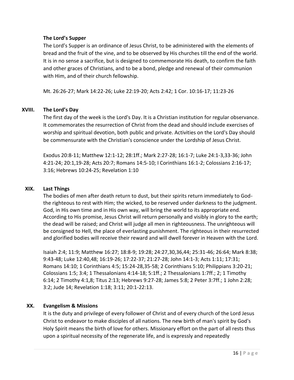## **The Lord's Supper**

The Lord's Supper is an ordinance of Jesus Christ, to be administered with the elements of bread and the fruit of the vine, and to be observed by His churches till the end of the world. It is in no sense a sacrifice, but is designed to commemorate His death, to confirm the faith and other graces of Christians, and to be a bond, pledge and renewal of their communion with Him, and of their church fellowship.

Mt. 26:26-27; Mark 14:22-26; Luke 22:19-20; Acts 2:42; 1 Cor. 10:16-17; 11:23-26

## **XVIII. The Lord's Day**

The first day of the week is the Lord's Day. It is a Christian institution for regular observance. It commemorates the resurrection of Christ from the dead and should include exercises of worship and spiritual devotion, both public and private. Activities on the Lord's Day should be commensurate with the Christian's conscience under the Lordship of Jesus Christ.

Exodus 20:8-11; Matthew 12:1-12; 28:1ff.; Mark 2:27-28; 16:1-7; Luke 24:1-3,33-36; John 4:21-24; 20:1,19-28; Acts 20:7; Romans 14:5-10; I Corinthians 16:1-2; Colossians 2:16-17; 3:16; Hebrews 10:24-25; Revelation 1:10

## **XIX. Last Things**

The bodies of men after death return to dust, but their spirits return immediately to Godthe righteous to rest with Him; the wicked, to be reserved under darkness to the judgment. God, in His own time and in His own way, will bring the world to its appropriate end. According to His promise, Jesus Christ will return personally and visibly in glory to the earth; the dead will be raised; and Christ will judge all men in righteousness. The unrighteous will be consigned to Hell, the place of everlasting punishment. The righteous in their resurrected and glorified bodies will receive their reward and will dwell forever in Heaven with the Lord.

Isaiah 2:4; 11:9; Matthew 16:27; 18:8-9; 19:28; 24:27,30,36,44; 25:31-46; 26:64; Mark 8:38; 9:43-48; Luke 12:40,48; 16:19-26; 17:22-37; 21:27-28; John 14:1-3; Acts 1:11; 17:31; Romans 14:10; 1 Corinthians 4:5; 15:24-28,35-58; 2 Corinthians 5:10; Philippians 3:20-21; Colossians 1:5; 3:4; 1 Thessalonians 4:14-18; 5:1ff.; 2 Thessalonians 1:7ff.; 2; 1 Timothy 6:14; 2 Timothy 4:1,8; Titus 2:13; Hebrews 9:27-28; James 5:8; 2 Peter 3:7ff.; 1 John 2:28; 3:2; Jude 14; Revelation 1:18; 3:11; 20:1-22:13.

## **XX. Evangelism & Missions**

It is the duty and privilege of every follower of Christ and of every church of the Lord Jesus Christ to endeavor to make disciples of all nations. The new birth of man's spirit by God's Holy Spirit means the birth of love for others. Missionary effort on the part of all rests thus upon a spiritual necessity of the regenerate life, and is expressly and repeatedly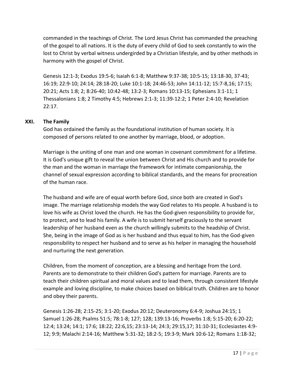commanded in the teachings of Christ. The Lord Jesus Christ has commanded the preaching of the gospel to all nations. It is the duty of every child of God to seek constantly to win the lost to Christ by verbal witness undergirded by a Christian lifestyle, and by other methods in harmony with the gospel of Christ.

Genesis 12:1-3; Exodus 19:5-6; Isaiah 6:1-8; Matthew 9:37-38; 10:5-15; 13:18-30, 37-43; 16:19; 22:9-10; 24:14; 28:18-20; Luke 10:1-18; 24:46-53; John 14:11-12; 15:7-8,16; 17:15; 20:21; Acts 1:8; 2; 8:26-40; 10:42-48; 13:2-3; Romans 10:13-15; Ephesians 3:1-11; 1 Thessalonians 1:8; 2 Timothy 4:5; Hebrews 2:1-3; 11:39-12:2; 1 Peter 2:4-10; Revelation 22:17.

# **XXI. The Family**

God has ordained the family as the foundational institution of human society. It is composed of persons related to one another by marriage, blood, or adoption.

Marriage is the uniting of one man and one woman in covenant commitment for a lifetime. It is God's unique gift to reveal the union between Christ and His church and to provide for the man and the woman in marriage the framework for intimate companionship, the channel of sexual expression according to biblical standards, and the means for procreation of the human race.

The husband and wife are of equal worth before God, since both are created in God's image. The marriage relationship models the way God relates to His people. A husband is to love his wife as Christ loved the church. He has the God-given responsibility to provide for, to protect, and to lead his family. A wife is to submit herself graciously to the servant leadership of her husband even as the church willingly submits to the headship of Christ. She, being in the image of God as is her husband and thus equal to him, has the God-given responsibility to respect her husband and to serve as his helper in managing the household and nurturing the next generation.

Children, from the moment of conception, are a blessing and heritage from the Lord. Parents are to demonstrate to their children God's pattern for marriage. Parents are to teach their children spiritual and moral values and to lead them, through consistent lifestyle example and loving discipline, to make choices based on biblical truth. Children are to honor and obey their parents.

Genesis 1:26-28; 2:15-25; 3:1-20; Exodus 20:12; Deuteronomy 6:4-9; Joshua 24:15; 1 Samuel 1:26-28; Psalms 51:5; 78:1-8; 127; 128; 139:13-16; Proverbs 1:8; 5:15-20; 6:20-22; 12:4; 13:24; 14:1; 17:6; 18:22; 22:6,15; 23:13-14; 24:3; 29:15,17; 31:10-31; Ecclesiastes 4:9- 12; 9:9; Malachi 2:14-16; Matthew 5:31-32; 18:2-5; 19:3-9; Mark 10:6-12; Romans 1:18-32;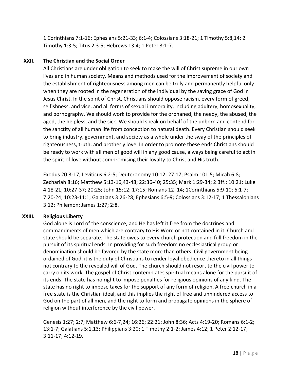1 Corinthians 7:1-16; Ephesians 5:21-33; 6:1-4; Colossians 3:18-21; 1 Timothy 5:8,14; 2 Timothy 1:3-5; Titus 2:3-5; Hebrews 13:4; 1 Peter 3:1-7.

# **XXII. The Christian and the Social Order**

All Christians are under obligation to seek to make the will of Christ supreme in our own lives and in human society. Means and methods used for the improvement of society and the establishment of righteousness among men can be truly and permanently helpful only when they are rooted in the regeneration of the individual by the saving grace of God in Jesus Christ. In the spirit of Christ, Christians should oppose racism, every form of greed, selfishness, and vice, and all forms of sexual immorality, including adultery, homosexuality, and pornography. We should work to provide for the orphaned, the needy, the abused, the aged, the helpless, and the sick. We should speak on behalf of the unborn and contend for the sanctity of all human life from conception to natural death. Every Christian should seek to bring industry, government, and society as a whole under the sway of the principles of righteousness, truth, and brotherly love. In order to promote these ends Christians should be ready to work with all men of good will in any good cause, always being careful to act in the spirit of love without compromising their loyalty to Christ and His truth.

Exodus 20:3-17; Leviticus 6:2-5; Deuteronomy 10:12; 27:17; Psalm 101:5; Micah 6:8; Zechariah 8:16; Matthew 5:13-16,43-48; 22:36-40; 25:35; Mark 1:29-34; 2:3ff.; 10:21; Luke 4:18-21; 10:27-37; 20:25; John 15:12; 17:15; Romans 12–14; 1Corinthians 5:9-10; 6:1-7; 7:20-24; 10:23-11:1; Galatians 3:26-28; Ephesians 6:5-9; Colossians 3:12-17; 1 Thessalonians 3:12; Philemon; James 1:27; 2:8.

# **XXIII. Religious Liberty**

God alone is Lord of the conscience, and He has left it free from the doctrines and commandments of men which are contrary to His Word or not contained in it. Church and state should be separate. The state owes to every church protection and full freedom in the pursuit of its spiritual ends. In providing for such freedom no ecclesiastical group or denomination should be favored by the state more than others. Civil government being ordained of God, it is the duty of Christians to render loyal obedience thereto in all things not contrary to the revealed will of God. The church should not resort to the civil power to carry on its work. The gospel of Christ contemplates spiritual means alone for the pursuit of its ends. The state has no right to impose penalties for religious opinions of any kind. The state has no right to impose taxes for the support of any form of religion. A free church in a free state is the Christian ideal, and this implies the right of free and unhindered access to God on the part of all men, and the right to form and propagate opinions in the sphere of religion without interference by the civil power.

Genesis 1:27; 2:7; Matthew 6:6-7,24; 16:26; 22:21; John 8:36; Acts 4:19-20; Romans 6:1-2; 13:1-7; Galatians 5:1,13; Philippians 3:20; 1 Timothy 2:1-2; James 4:12; 1 Peter 2:12-17; 3:11-17; 4:12-19.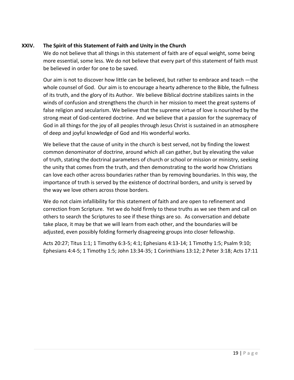# **XXIV. The Spirit of this Statement of Faith and Unity in the Church**

We do not believe that all things in this statement of faith are of equal weight, some being more essential, some less. We do not believe that every part of this statement of faith must be believed in order for one to be saved.

Our aim is not to discover how little can be believed, but rather to embrace and teach ―the whole counsel of God. Our aim is to encourage a hearty adherence to the Bible, the fullness of its truth, and the glory of its Author. We believe Biblical doctrine stabilizes saints in the winds of confusion and strengthens the church in her mission to meet the great systems of false religion and secularism. We believe that the supreme virtue of love is nourished by the strong meat of God-centered doctrine. And we believe that a passion for the supremacy of God in all things for the joy of all peoples through Jesus Christ is sustained in an atmosphere of deep and joyful knowledge of God and His wonderful works.

We believe that the cause of unity in the church is best served, not by finding the lowest common denominator of doctrine, around which all can gather, but by elevating the value of truth, stating the doctrinal parameters of church or school or mission or ministry, seeking the unity that comes from the truth, and then demonstrating to the world how Christians can love each other across boundaries rather than by removing boundaries. In this way, the importance of truth is served by the existence of doctrinal borders, and unity is served by the way we love others across those borders.

We do not claim infallibility for this statement of faith and are open to refinement and correction from Scripture. Yet we do hold firmly to these truths as we see them and call on others to search the Scriptures to see if these things are so. As conversation and debate take place, it may be that we will learn from each other, and the boundaries will be adjusted, even possibly folding formerly disagreeing groups into closer fellowship.

Acts 20:27; Titus 1:1; 1 Timothy 6:3-5; 4:1; Ephesians 4:13-14; 1 Timothy 1:5; Psalm 9:10; Ephesians 4:4-5; 1 Timothy 1:5; John 13:34-35; 1 Corinthians 13:12; 2 Peter 3:18; Acts 17:11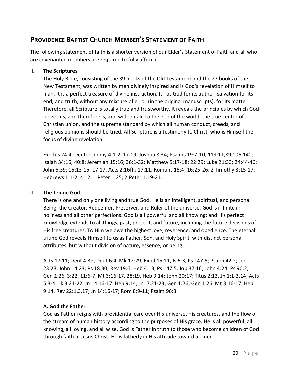# **PROVIDENCE BAPTIST CHURCH MEMBER'S STATEMENT OF FAITH**

The following statement of faith is a shorter version of our Elder's Statement of Faith and all who are covenanted members are required to fully affirm it.

# I. **The Scriptures**

The Holy Bible, consisting of the 39 books of the Old Testament and the 27 books of the New Testament, was written by men divinely inspired and is God's revelation of Himself to man. It is a perfect treasure of divine instruction. It has God for its author, salvation for its end, and truth, without any mixture of error (in the original manuscripts), for its matter. Therefore, all Scripture is totally true and trustworthy. It reveals the principles by which God judges us, and therefore is, and will remain to the end of the world, the true center of Christian union, and the supreme standard by which all human conduct, creeds, and religious opinions should be tried. All Scripture is a testimony to Christ, who is Himself the focus of divine revelation.

Exodus 24:4; Deuteronomy 4:1-2; 17:19; Joshua 8:34; Psalms 19:7-10; 119:11,89,105,140; Isaiah 34:16; 40:8; Jeremiah 15:16; 36:1-32; Matthew 5:17-18; 22:29; Luke 21:33; 24:44-46; John 5:39; 16:13-15; 17:17; Acts 2:16ff.; 17:11; Romans 15:4; 16:25-26; 2 Timothy 3:15-17; Hebrews 1:1-2; 4:12; 1 Peter 1:25; 2 Peter 1:19-21.

# II. **The Triune God**

There is one and only one living and true God. He is an intelligent, spiritual, and personal Being, the Creator, Redeemer, Preserver, and Ruler of the universe. God is infinite in holiness and all other perfections. God is all powerful and all knowing; and His perfect knowledge extends to all things, past, present, and future, including the future decisions of His free creatures. To Him we owe the highest love, reverence, and obedience. The eternal triune God reveals Himself to us as Father, Son, and Holy Spirit, with distinct personal attributes, but without division of nature, essence, or being.

Acts 17:11; Deut 4:39, Deut 6:4, Mk 12:29; Exod 15:11, Is 6:3, Ps 147:5; Psalm 42:2; Jer 23:23, John 14:23; Ps 18:30; Rev 19:6; Heb 4:13, Ps 147:5, Job 37:16; John 4:24; Ps 90:2; Gen 1:26, 3:22, 11:6-7, Mt 3:16-17, 28:19, Heb 9:14; John 20:17; Titus 2:13, Jn 1:1-3,14; Acts 5:3-4; Lk 3:21-22, Jn 14:16-17, Heb 9:14; Jn17:21-23, Gen 1:26; Gen 1:26, Mt 3:16-17, Heb 9:14, Rev 22:1,3,17; Jn 14:16-17; Rom 8:9-11; Psalm 96:8.

# **A. God the Father**

God as Father reigns with providential care over His universe, His creatures, and the flow of the stream of human history according to the purposes of His grace. He is all powerful, all knowing, all loving, and all wise. God is Father in truth to those who become children of God through faith in Jesus Christ. He is fatherly in His attitude toward all men.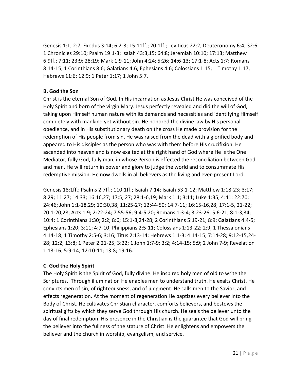Genesis 1:1; 2:7; Exodus 3:14; 6:2-3; 15:11ff.; 20:1ff.; Leviticus 22:2; Deuteronomy 6:4; 32:6; 1 Chronicles 29:10; Psalm 19:1-3; Isaiah 43:3,15; 64:8; Jeremiah 10:10; 17:13; Matthew 6:9ff.; 7:11; 23:9; 28:19; Mark 1:9-11; John 4:24; 5:26; 14:6-13; 17:1-8; Acts 1:7; Romans 8:14-15; 1 Corinthians 8:6; Galatians 4:6; Ephesians 4:6; Colossians 1:15; 1 Timothy 1:17; Hebrews 11:6; 12:9; 1 Peter 1:17; 1 John 5:7.

# **B. God the Son**

Christ is the eternal Son of God. In His incarnation as Jesus Christ He was conceived of the Holy Spirit and born of the virgin Mary. Jesus perfectly revealed and did the will of God, taking upon Himself human nature with its demands and necessities and identifying Himself completely with mankind yet without sin. He honored the divine law by His personal obedience, and in His substitutionary death on the cross He made provision for the redemption of His people from sin. He was raised from the dead with a glorified body and appeared to His disciples as the person who was with them before His crucifixion. He ascended into heaven and is now exalted at the right hand of God where He is the One Mediator, fully God, fully man, in whose Person is effected the reconciliation between God and man. He will return in power and glory to judge the world and to consummate His redemptive mission. He now dwells in all believers as the living and ever-present Lord.

Genesis 18:1ff.; Psalms 2:7ff.; 110:1ff.; Isaiah 7:14; Isaiah 53:1-12; Matthew 1:18-23; 3:17; 8:29; 11:27; 14:33; 16:16,27; 17:5; 27; 28:1-6,19; Mark 1:1; 3:11; Luke 1:35; 4:41; 22:70; 24:46; John 1:1-18,29; 10:30,38; 11:25-27; 12:44-50; 14:7-11; 16:15-16,28; 17:1-5, 21-22; 20:1-20,28; Acts 1:9; 2:22-24; 7:55-56; 9:4-5,20; Romans 1:3-4; 3:23-26; 5:6-21; 8:1-3,34; 10:4; 1 Corinthians 1:30; 2:2; 8:6; 15:1-8,24-28; 2 Corinthians 5:19-21; 8:9; Galatians 4:4-5; Ephesians 1:20; 3:11; 4:7-10; Philippians 2:5-11; Colossians 1:13-22; 2:9; 1 Thessalonians 4:14-18; 1 Timothy 2:5-6; 3:16; Titus 2:13-14; Hebrews 1:1-3; 4:14-15; 7:14-28; 9:12-15,24- 28; 12:2; 13:8; 1 Peter 2:21-25; 3:22; 1 John 1:7-9; 3:2; 4:14-15; 5:9; 2 John 7-9; Revelation 1:13-16; 5:9-14; 12:10-11; 13:8; 19:16.

# **C. God the Holy Spirit**

The Holy Spirit is the Spirit of God, fully divine. He inspired holy men of old to write the Scriptures. Through illumination He enables men to understand truth. He exalts Christ. He convicts men of sin, of righteousness, and of judgment. He calls men to the Savior, and effects regeneration. At the moment of regeneration He baptizes every believer into the Body of Christ. He cultivates Christian character, comforts believers, and bestows the spiritual gifts by which they serve God through His church. He seals the believer unto the day of final redemption. His presence in the Christian is the guarantee that God will bring the believer into the fullness of the stature of Christ. He enlightens and empowers the believer and the church in worship, evangelism, and service.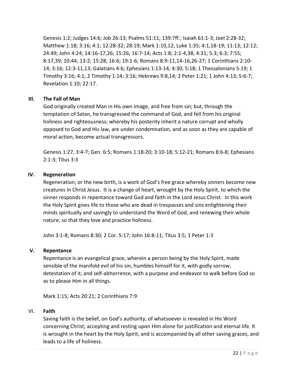Genesis 1:2; Judges 14:6; Job 26:13; Psalms 51:11; 139:7ff.; Isaiah 61:1-3; Joel 2:28-32; Matthew 1:18; 3:16; 4:1; 12:28-32; 28:19; Mark 1:10,12; Luke 1:35; 4:1,18-19; 11:13; 12:12; 24:49; John 4:24; 14:16-17,26; 15:26; 16:7-14; Acts 1:8; 2:1-4,38; 4:31; 5:3; 6:3; 7:55; 8:17,39; 10:44; 13:2; 15:28; 16:6; 19:1-6; Romans 8:9-11,14-16,26-27; 1 Corinthians 2:10- 14; 3:16; 12:3-11,13; Galatians 4:6; Ephesians 1:13-14; 4:30; 5:18; 1 Thessalonians 5:19; 1 Timothy 3:16; 4:1; 2 Timothy 1:14; 3:16; Hebrews 9:8,14; 2 Peter 1:21; 1 John 4:13; 5:6-7; Revelation 1:10; 22:17.

# **III. The Fall of Man**

God originally created Man in His own image, and free from sin; but, through the temptation of Satan, he transgressed the command of God, and fell from his original holiness and righteousness; whereby his posterity inherit a nature corrupt and wholly opposed to God and His law, are under condemnation, and as soon as they are capable of moral action, become actual transgressors.

Genesis 1:27, 3:4-7; Gen. 6:5; Romans 1:18-20; 3:10-18; 5:12-21; Romans 8:6-8; Ephesians 2:1-3; Titus 3:3

# **IV. Regeneration**

Regeneration, or the new birth, is a work of God's free grace whereby sinners become new creatures in Christ Jesus. It is a change of heart, wrought by the Holy Spirit, to which the sinner responds in repentance toward God and faith in the Lord Jesus Christ. In this work the Holy Spirit gives life to those who are dead in trespasses and sins enlightening their minds spiritually and savingly to understand the Word of God, and renewing their whole nature, so that they love and practice holiness.

John 3:1-8; Romans 8:30; 2 Cor. 5:17; John 16:8-11; Titus 3:5; 1 Peter 1:3

# **V. Repentance**

Repentance is an evangelical grace, wherein a person being by the Holy Spirit, made sensible of the manifold evil of his sin, humbles himself for it, with godly sorrow, detestation of it, and self-abhorrence, with a purpose and endeavor to walk before God so as to please Him in all things.

Mark 1:15; Acts 20:21; 2 Corinthians 7:9

# VI. **Faith**

Saving faith is the belief, on God's authority, of whatsoever is revealed in His Word concerning Christ; accepting and resting upon Him alone for justification and eternal life. It is wrought in the heart by the Holy Spirit, and is accompanied by all other saving graces, and leads to a life of holiness.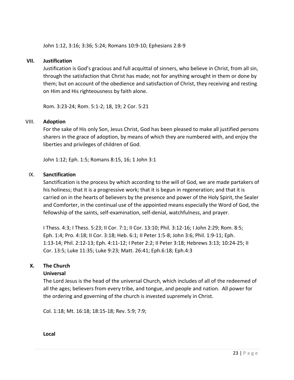John 1:12, 3:16; 3:36; 5:24; Romans 10:9-10; Ephesians 2:8-9

# **VII. Justification**

Justification is God's gracious and full acquittal of sinners, who believe in Christ, from all sin, through the satisfaction that Christ has made; not for anything wrought in them or done by them; but on account of the obedience and satisfaction of Christ, they receiving and resting on Him and His righteousness by faith alone.

Rom. 3:23-24; Rom. 5:1-2; 18, 19; 2 Cor. 5:21

## VIII. **Adoption**

For the sake of His only Son, Jesus Christ, God has been pleased to make all justified persons sharers in the grace of adoption, by means of which they are numbered with, and enjoy the liberties and privileges of children of God.

John 1:12; Eph. 1:5; Romans 8:15, 16; 1 John 3:1

## IX. **Sanctification**

Sanctification is the process by which according to the will of God, we are made partakers of his holiness; that it is a progressive work; that it is begun in regeneration; and that it is carried on in the hearts of believers by the presence and power of the Holy Spirit, the Sealer and Comforter, in the continual use of the appointed means especially the Word of God, the fellowship of the saints, self-examination, self-denial, watchfulness, and prayer.

I Thess. 4:3; I Thess. 5:23; II Cor. 7:1; II Cor. 13:10; Phil. 3:12-16; I John 2:29; Rom. 8:5; Eph. 1:4; Pro. 4:18; II Cor. 3:18; Heb. 6:1; II Peter 1:5-8; John 3:6; Phil. 1:9-11; Eph. 1:13-14; Phil. 2:12-13; Eph. 4:11-12; I Peter 2:2; II Peter 3:18; Hebrews 3:13; 10:24-25; II Cor. 13:5; Luke 11:35; Luke 9:23; Matt. 26:41; Eph.6:18; Eph.4:3

# **X. The Church**

## **Universal**

The Lord Jesus is the head of the universal Church, which includes of all of the redeemed of all the ages; believers from every tribe, and tongue, and people and nation. All power for the ordering and governing of the church is invested supremely in Christ.

Col. 1:18; Mt. 16:18; 18:15-18; Rev. 5:9; 7:9;

**Local**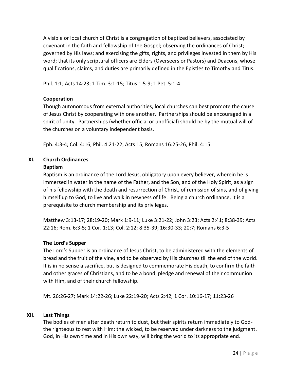A visible or local church of Christ is a congregation of baptized believers, associated by covenant in the faith and fellowship of the Gospel; observing the ordinances of Christ; governed by His laws; and exercising the gifts, rights, and privileges invested in them by His word; that its only scriptural officers are Elders (Overseers or Pastors) and Deacons, whose qualifications, claims, and duties are primarily defined in the Epistles to Timothy and Titus.

Phil. 1:1; Acts 14:23; 1 Tim. 3:1-15; Titus 1:5-9; 1 Pet. 5:1-4.

## **Cooperation**

Though autonomous from external authorities, local churches can best promote the cause of Jesus Christ by cooperating with one another. Partnerships should be encouraged in a spirit of unity. Partnerships (whether official or unofficial) should be by the mutual will of the churches on a voluntary independent basis.

Eph. 4:3-4; Col. 4:16, Phil. 4:21-22, Acts 15; Romans 16:25-26, Phil. 4:15.

# **XI. Church Ordinances**

## **Baptism**

Baptism is an ordinance of the Lord Jesus, obligatory upon every believer, wherein he is immersed in water in the name of the Father, and the Son, and of the Holy Spirit, as a sign of his fellowship with the death and resurrection of Christ, of remission of sins, and of giving himself up to God, to live and walk in newness of life. Being a church ordinance, it is a prerequisite to church membership and its privileges.

Matthew 3:13-17; 28:19-20; Mark 1:9-11; Luke 3:21-22; John 3:23; Acts 2:41; 8:38-39; Acts 22:16; Rom. 6:3-5; 1 Cor. 1:13; Col. 2:12; 8:35-39; 16:30-33; 20:7; Romans 6:3-5

# **The Lord's Supper**

The Lord's Supper is an ordinance of Jesus Christ, to be administered with the elements of bread and the fruit of the vine, and to be observed by His churches till the end of the world. It is in no sense a sacrifice, but is designed to commemorate His death, to confirm the faith and other graces of Christians, and to be a bond, pledge and renewal of their communion with Him, and of their church fellowship.

Mt. 26:26-27; Mark 14:22-26; Luke 22:19-20; Acts 2:42; 1 Cor. 10:16-17; 11:23-26

## **XII. Last Things**

The bodies of men after death return to dust, but their spirits return immediately to Godthe righteous to rest with Him; the wicked, to be reserved under darkness to the judgment. God, in His own time and in His own way, will bring the world to its appropriate end.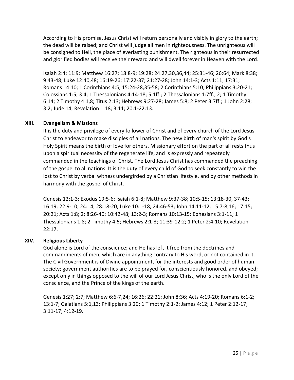According to His promise, Jesus Christ will return personally and visibly in glory to the earth; the dead will be raised; and Christ will judge all men in righteousness. The unrighteous will be consigned to Hell, the place of everlasting punishment. The righteous in their resurrected and glorified bodies will receive their reward and will dwell forever in Heaven with the Lord.

Isaiah 2:4; 11:9; Matthew 16:27; 18:8-9; 19:28; 24:27,30,36,44; 25:31-46; 26:64; Mark 8:38; 9:43-48; Luke 12:40,48; 16:19-26; 17:22-37; 21:27-28; John 14:1-3; Acts 1:11; 17:31; Romans 14:10; 1 Corinthians 4:5; 15:24-28,35-58; 2 Corinthians 5:10; Philippians 3:20-21; Colossians 1:5; 3:4; 1 Thessalonians 4:14-18; 5:1ff.; 2 Thessalonians 1:7ff.; 2; 1 Timothy 6:14; 2 Timothy 4:1,8; Titus 2:13; Hebrews 9:27-28; James 5:8; 2 Peter 3:7ff.; 1 John 2:28; 3:2; Jude 14; Revelation 1:18; 3:11; 20:1-22:13.

# **XIII. Evangelism & Missions**

It is the duty and privilege of every follower of Christ and of every church of the Lord Jesus Christ to endeavor to make disciples of all nations. The new birth of man's spirit by God's Holy Spirit means the birth of love for others. Missionary effort on the part of all rests thus upon a spiritual necessity of the regenerate life, and is expressly and repeatedly commanded in the teachings of Christ. The Lord Jesus Christ has commanded the preaching of the gospel to all nations. It is the duty of every child of God to seek constantly to win the lost to Christ by verbal witness undergirded by a Christian lifestyle, and by other methods in harmony with the gospel of Christ.

Genesis 12:1-3; Exodus 19:5-6; Isaiah 6:1-8; Matthew 9:37-38; 10:5-15; 13:18-30, 37-43; 16:19; 22:9-10; 24:14; 28:18-20; Luke 10:1-18; 24:46-53; John 14:11-12; 15:7-8,16; 17:15; 20:21; Acts 1:8; 2; 8:26-40; 10:42-48; 13:2-3; Romans 10:13-15; Ephesians 3:1-11; 1 Thessalonians 1:8; 2 Timothy 4:5; Hebrews 2:1-3; 11:39-12:2; 1 Peter 2:4-10; Revelation 22:17.

# **XIV. Religious Liberty**

God alone is Lord of the conscience; and He has left it free from the doctrines and commandments of men, which are in anything contrary to His word, or not contained in it. The Civil Government is of Divine appointment, for the interests and good order of human society; government authorities are to be prayed for, conscientiously honored, and obeyed; except only in things opposed to the will of our Lord Jesus Christ, who is the only Lord of the conscience, and the Prince of the kings of the earth.

Genesis 1:27; 2:7; Matthew 6:6-7,24; 16:26; 22:21; John 8:36; Acts 4:19-20; Romans 6:1-2; 13:1-7; Galatians 5:1,13; Philippians 3:20; 1 Timothy 2:1-2; James 4:12; 1 Peter 2:12-17; 3:11-17; 4:12-19.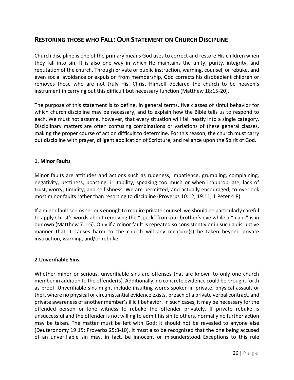# **RESTORING THOSE WHO FALL: OUR STATEMENT ON CHURCH DISCIPLINE**

Church discipline is one of the primary means God uses to correct and restore His children when they fall into sin. It is also one way in which He maintains the unity, purity, integrity, and reputation of the church. Through private or public instruction, warning, counsel, or rebuke, and even social avoidance or expulsion from membership, God corrects his disobedient children or removes those who are not truly His. Christ Himself declared the church to be heaven's instrument in carrying out this difficult but necessary function (Matthew 18:15-20).

The purpose of this statement is to define, in general terms, five classes of sinful behavior for which church discipline may be necessary, and to explain how the Bible tells us to respond to each. We must not assume, however, that every situation will fall neatly into a single category. Disciplinary matters are often confusing combinations or variations of these general classes, making the proper course of action difficult to determine. For this reason, the church must carry out discipline with prayer, diligent application of Scripture, and reliance upon the Spirit of God.

## **1. Minor Faults**

Minor faults are attitudes and actions such as rudeness, impatience, grumbling, complaining, negativity, pettiness, boasting, irritability, speaking too much or when inappropriate, lack of trust, worry, timidity, and selfishness. We are permitted, and actually encouraged, to overlook most minor faults rather than resorting to discipline (Proverbs 10:12; 19:11; 1 Peter 4:8).

If a minor fault seems serious enough to require private counsel, we should be particularly careful to apply Christ's words about removing the "speck" from our brother's eye while a "plank" is in our own (Matthew 7:1-5). Only if a minor fault is repeated so consistently or in such a disruptive manner that it causes harm to the church will any measure(s) be taken beyond private instruction, warning, and/or rebuke.

# **2.Unverifiable Sins**

Whether minor or serious, unverifiable sins are offenses that are known to only one church member in addition to the offender(s). Additionally, no concrete evidence could be brought forth as proof. Unverifiable sins might include insulting words spoken in private, physical assault or theft where no physical or circumstantial evidence exists, breach of a private verbal contract, and private awareness of another member's illicit behavior. In such cases, it may be necessary for the offended person or lone witness to rebuke the offender privately. If private rebuke is unsuccessful and the offender is not willing to admit his sin to others, normally no further action may be taken. The matter must be left with God; it should not be revealed to anyone else (Deuteronomy 19:15; Proverbs 25:8-10). It must also be recognized that the one being accused of an unverifiable sin may, in fact, be innocent or misunderstood. Exceptions to this rule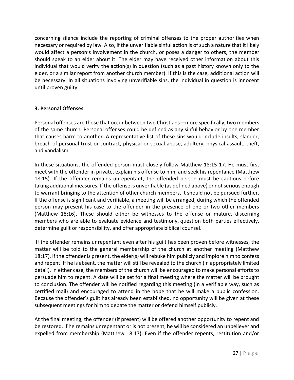concerning silence include the reporting of criminal offenses to the proper authorities when necessary or required by law. Also, if the unverifiable sinful action is of such a nature that it likely would affect a person's involvement in the church, or poses a danger to others, the member should speak to an elder about it. The elder may have received other information about this individual that would verify the action(s) in question (such as a past history known only to the elder, or a similar report from another church member). If this is the case, additional action will be necessary. In all situations involving unverifiable sins, the individual in question is innocent until proven guilty.

# **3. Personal Offenses**

Personal offenses are those that occur between two Christians—more specifically, two members of the same church. Personal offenses could be defined as any sinful behavior by one member that causes harm to another. A representative list of these sins would include insults, slander, breach of personal trust or contract, physical or sexual abuse, adultery, physical assault, theft, and vandalism.

In these situations, the offended person must closely follow Matthew 18:15-17. He must first meet with the offender in private, explain his offense to him, and seek his repentance (Matthew 18:15). If the offender remains unrepentant, the offended person must be cautious before taking additional measures. If the offense is unverifiable (as defined above) or not serious enough to warrant bringing to the attention of other church members, it should not be pursued further. If the offense is significant and verifiable, a meeting will be arranged, during which the offended person may present his case to the offender in the presence of one or two other members (Matthew 18:16). These should either be witnesses to the offense or mature, discerning members who are able to evaluate evidence and testimony, question both parties effectively, determine guilt or responsibility, and offer appropriate biblical counsel.

If the offender remains unrepentant even after his guilt has been proven before witnesses, the matter will be told to the general membership of the church at another meeting (Matthew 18:17). If the offender is present, the elder(s) will rebuke him publicly and implore him to confess and repent. If he is absent, the matter will still be revealed to the church (in appropriately limited detail). In either case, the members of the church will be encouraged to make personal efforts to persuade him to repent. A date will be set for a final meeting where the matter will be brought to conclusion. The offender will be notified regarding this meeting (in a verifiable way, such as certified mail) and encouraged to attend in the hope that he will make a public confession. Because the offender's guilt has already been established, no opportunity will be given at these subsequent meetings for him to debate the matter or defend himself publicly.

At the final meeting, the offender (if present) will be offered another opportunity to repent and be restored. If he remains unrepentant or is not present, he will be considered an unbeliever and expelled from membership (Matthew 18:17). Even if the offender repents, restitution and/or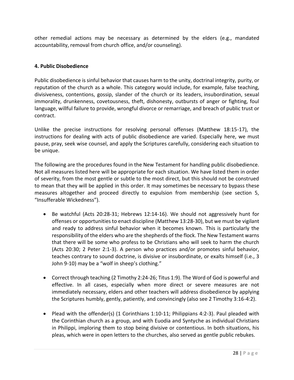other remedial actions may be necessary as determined by the elders (e.g., mandated accountability, removal from church office, and/or counseling).

# **4. Public Disobedience**

Public disobedience is sinful behavior that causes harm to the unity, doctrinal integrity, purity, or reputation of the church as a whole. This category would include, for example, false teaching, divisiveness, contentions, gossip, slander of the church or its leaders, insubordination, sexual immorality, drunkenness, covetousness, theft, dishonesty, outbursts of anger or fighting, foul language, willful failure to provide, wrongful divorce or remarriage, and breach of public trust or contract.

Unlike the precise instructions for resolving personal offenses (Matthew 18:15-17), the instructions for dealing with acts of public disobedience are varied. Especially here, we must pause, pray, seek wise counsel, and apply the Scriptures carefully, considering each situation to be unique.

The following are the procedures found in the New Testament for handling public disobedience. Not all measures listed here will be appropriate for each situation. We have listed them in order of severity, from the most gentle or subtle to the most direct, but this should not be construed to mean that they will be applied in this order. It may sometimes be necessary to bypass these measures altogether and proceed directly to expulsion from membership (see section 5, "Insufferable Wickedness").

- Be watchful (Acts 20:28-31; Hebrews 12:14-16). We should not aggressively hunt for offenses or opportunities to enact discipline (Matthew 13:28-30), but we must be vigilant and ready to address sinful behavior when it becomes known. This is particularly the responsibility of the elders who are the shepherds of the flock. The New Testament warns that there will be some who profess to be Christians who will seek to harm the church (Acts 20:30; 2 Peter 2:1-3). A person who practices and/or promotes sinful behavior, teaches contrary to sound doctrine, is divisive or insubordinate, or exalts himself (i.e., 3 John 9-10) may be a "wolf in sheep's clothing."
- Correct through teaching (2 Timothy 2:24-26; Titus 1:9). The Word of God is powerful and effective. In all cases, especially when more direct or severe measures are not immediately necessary, elders and other teachers will address disobedience by applying the Scriptures humbly, gently, patiently, and convincingly (also see 2 Timothy 3:16-4:2).
- Plead with the offender(s) (1 Corinthians 1:10-11; Philippians 4:2-3). Paul pleaded with the Corinthian church as a group, and with Euodia and Syntyche as individual Christians in Philippi, imploring them to stop being divisive or contentious. In both situations, his pleas, which were in open letters to the churches, also served as gentle public rebukes.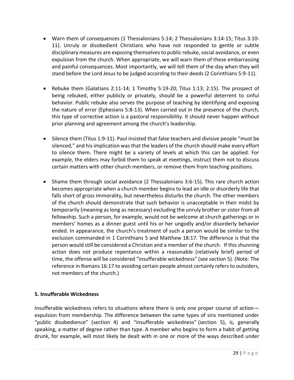- Warn them of consequences (1 Thessalonians 5:14; 2 Thessalonians 3:14-15; Titus 3:10- 11). Unruly or disobedient Christians who have not responded to gentle or subtle disciplinary measures are exposing themselves to public rebuke, social avoidance, or even expulsion from the church. When appropriate, we will warn them of these embarrassing and painful consequences. Most importantly, we will tell them of the day when they will stand before the Lord Jesus to be judged according to their deeds (2 Corinthians 5:9-11).
- Rebuke them (Galatians 2:11-14; 1 Timothy 5:19-20; Titus 1:13; 2:15). The prospect of being rebuked, either publicly or privately, should be a powerful deterrent to sinful behavior. Public rebuke also serves the purpose of teaching by identifying and exposing the nature of error (Ephesians 5:8-13). When carried out in the presence of the church, this type of corrective action is a pastoral responsibility. It should never happen without prior planning and agreement among the church's leadership.
- Silence them (Titus 1:9-11). Paul insisted that false teachers and divisive people "must be silenced," and his implication was that the leaders of the church should make every effort to silence them. There might be a variety of levels at which this can be applied. For example, the elders may forbid them to speak at meetings, instruct them not to discuss certain matters with other church members, or remove them from teaching positions.
- Shame them through social avoidance (2 Thessalonians 3:6-15). This rare church action becomes appropriate when a church member begins to lead an idle or disorderly life that falls short of gross immorality, but nevertheless disturbs the church. The other members of the church should demonstrate that such behavior is unacceptable in their midst by temporarily (meaning as long as necessary) excluding the unruly brother or sister from all fellowship. Such a person, for example, would not be welcome at church gatherings or in members' homes as a dinner guest until his or her ungodly and/or disorderly behavior ended. In appearance, the church's treatment of such a person would be similar to the exclusion commanded in 1 Corinthians 5 and Matthew 18:17. The difference is that the person would still be considered a Christian and a member of the church. If this shunning action does not produce repentance within a reasonable (relatively brief) period of time, the offense will be considered "insufferable wickedness" (see section 5). (Note: The reference in Romans 16:17 to avoiding certain people almost certainly refers to outsiders, not members of the church.)

# **5. Insufferable Wickedness**

Insufferable wickedness refers to situations where there is only one proper course of action expulsion from membership. The difference between the same types of sins mentioned under "public disobedience" (section 4) and "insufferable wickedness" (section 5), is, generally speaking, a matter of degree rather than type. A member who begins to form a habit of getting drunk, for example, will most likely be dealt with in one or more of the ways described under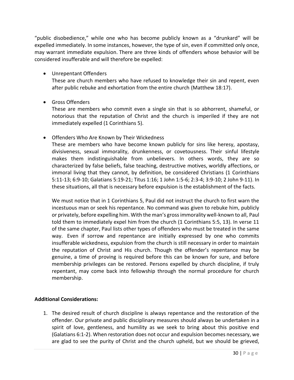"public disobedience," while one who has become publicly known as a "drunkard" will be expelled immediately. In some instances, however, the type of sin, even if committed only once, may warrant immediate expulsion. There are three kinds of offenders whose behavior will be considered insufferable and will therefore be expelled:

• Unrepentant Offenders

These are church members who have refused to knowledge their sin and repent, even after public rebuke and exhortation from the entire church (Matthew 18:17).

• Gross Offenders

These are members who commit even a single sin that is so abhorrent, shameful, or notorious that the reputation of Christ and the church is imperiled if they are not immediately expelled (1 Corinthians 5).

• Offenders Who Are Known by Their Wickedness

These are members who have become known publicly for sins like heresy, apostasy, divisiveness, sexual immorality, drunkenness, or covetousness. Their sinful lifestyle makes them indistinguishable from unbelievers. In others words, they are so characterized by false beliefs, false teaching, destructive motives, worldly affections, or immoral living that they cannot, by definition, be considered Christians (1 Corinthians 5:11-13; 6:9-10; Galatians 5:19-21; Titus 1:16; 1 John 1:5-6; 2:3-4; 3:9-10; 2 John 9-11). In these situations, all that is necessary before expulsion is the establishment of the facts.

We must notice that in 1 Corinthians 5, Paul did not instruct the church to first warn the incestuous man or seek his repentance. No command was given to rebuke him, publicly or privately, before expelling him. With the man's gross immorality well-known to all, Paul told them to immediately expel him from the church (1 Corinthians 5:5, 13). In verse 11 of the same chapter, Paul lists other types of offenders who must be treated in the same way. Even if sorrow and repentance are initially expressed by one who commits insufferable wickedness, expulsion from the church is still necessary in order to maintain the reputation of Christ and His church. Though the offender's repentance may be genuine, a time of proving is required before this can be known for sure, and before membership privileges can be restored. Persons expelled by church discipline, if truly repentant, may come back into fellowship through the normal procedure for church membership.

# **Additional Considerations:**

1. The desired result of church discipline is always repentance and the restoration of the offender. Our private and public disciplinary measures should always be undertaken in a spirit of love, gentleness, and humility as we seek to bring about this positive end (Galatians 6:1-2). When restoration does not occur and expulsion becomes necessary, we are glad to see the purity of Christ and the church upheld, but we should be grieved,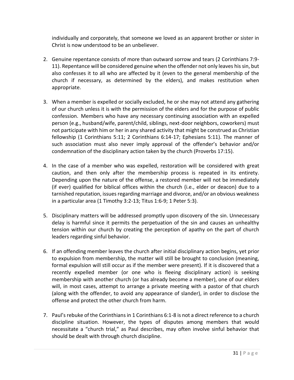individually and corporately, that someone we loved as an apparent brother or sister in Christ is now understood to be an unbeliever.

- 2. Genuine repentance consists of more than outward sorrow and tears (2 Corinthians 7:9- 11). Repentance will be considered genuine when the offender not only leaves his sin, but also confesses it to all who are affected by it (even to the general membership of the church if necessary, as determined by the elders), and makes restitution when appropriate.
- 3. When a member is expelled or socially excluded, he or she may not attend any gathering of our church unless it is with the permission of the elders and for the purpose of public confession. Members who have any necessary continuing association with an expelled person (e.g., husband/wife, parent/child, siblings, next-door neighbors, coworkers) must not participate with him or her in any shared activity that might be construed as Christian fellowship (1 Corinthians 5:11; 2 Corinthians 6:14-17; Ephesians 5:11). The manner of such association must also never imply approval of the offender's behavior and/or condemnation of the disciplinary action taken by the church (Proverbs 17:15).
- 4. In the case of a member who was expelled, restoration will be considered with great caution, and then only after the membership process is repeated in its entirety. Depending upon the nature of the offense, a restored member will not be immediately (if ever) qualified for biblical offices within the church (i.e., elder or deacon) due to a tarnished reputation, issues regarding marriage and divorce, and/or an obvious weakness in a particular area (1 Timothy 3:2-13; Titus 1:6-9; 1 Peter 5:3).
- 5. Disciplinary matters will be addressed promptly upon discovery of the sin. Unnecessary delay is harmful since it permits the perpetuation of the sin and causes an unhealthy tension within our church by creating the perception of apathy on the part of church leaders regarding sinful behavior.
- 6. If an offending member leaves the church after initial disciplinary action begins, yet prior to expulsion from membership, the matter will still be brought to conclusion (meaning, formal expulsion will still occur as if the member were present). If it is discovered that a recently expelled member (or one who is fleeing disciplinary action) is seeking membership with another church (or has already become a member), one of our elders will, in most cases, attempt to arrange a private meeting with a pastor of that church (along with the offender, to avoid any appearance of slander), in order to disclose the offense and protect the other church from harm.
- 7. Paul's rebuke of the Corinthians in 1 Corinthians 6:1-8 is not a direct reference to a church discipline situation. However, the types of disputes among members that would necessitate a "church trial," as Paul describes, may often involve sinful behavior that should be dealt with through church discipline.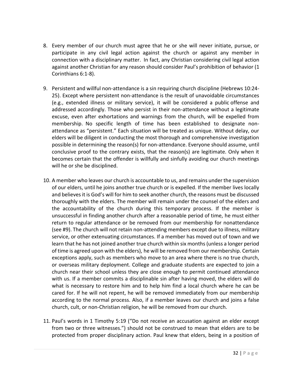- 8. Every member of our church must agree that he or she will never initiate, pursue, or participate in any civil legal action against the church or against any member in connection with a disciplinary matter. In fact, any Christian considering civil legal action against another Christian for any reason should consider Paul's prohibition of behavior (1 Corinthians 6:1-8).
- 9. Persistent and willful non-attendance is a sin requiring church discipline (Hebrews 10:24- 25). Except where persistent non-attendance is the result of unavoidable circumstances (e.g., extended illness or military service), it will be considered a public offense and addressed accordingly. Those who persist in their non-attendance without a legitimate excuse, even after exhortations and warnings from the church, will be expelled from membership. No specific length of time has been established to designate nonattendance as "persistent." Each situation will be treated as unique. Without delay, our elders will be diligent in conducting the most thorough and comprehensive investigation possible in determining the reason(s) for non-attendance. Everyone should assume, until conclusive proof to the contrary exists, that the reason(s) are legitimate. Only when it becomes certain that the offender is willfully and sinfully avoiding our church meetings will he or she be disciplined.
- 10. A member who leaves our church is accountable to us, and remains under the supervision of our elders, until he joins another true church or is expelled. If the member lives locally and believes it is God's will for him to seek another church, the reasons must be discussed thoroughly with the elders. The member will remain under the counsel of the elders and the accountability of the church during this temporary process. If the member is unsuccessful in finding another church after a reasonable period of time, he must either return to regular attendance or be removed from our membership for nonattendance (see #9). The church will not retain non-attending members except due to illness, military service, or other extenuating circumstances. If a member has moved out of town and we learn that he has not joined another true church within six months (unless a longer period of time is agreed upon with the elders), he will be removed from our membership. Certain exceptions apply, such as members who move to an area where there is no true church, or overseas military deployment. College and graduate students are expected to join a church near their school unless they are close enough to permit continued attendance with us. If a member commits a disciplinable sin after having moved, the elders will do what is necessary to restore him and to help him find a local church where he can be cared for. If he will not repent, he will be removed immediately from our membership according to the normal process. Also, if a member leaves our church and joins a false church, cult, or non-Christian religion, he will be removed from our church.
- 11. Paul's words in 1 Timothy 5:19 ("Do not receive an accusation against an elder except from two or three witnesses.") should not be construed to mean that elders are to be protected from proper disciplinary action. Paul knew that elders, being in a position of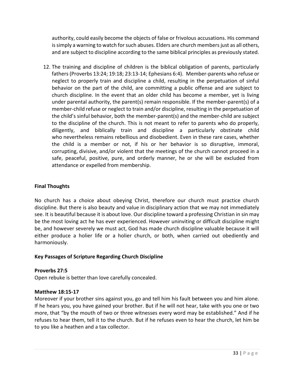authority, could easily become the objects of false or frivolous accusations. His command is simply a warning to watch for such abuses. Elders are church members just as all others, and are subject to discipline according to the same biblical principles as previously stated.

12. The training and discipline of children is the biblical obligation of parents, particularly fathers (Proverbs 13:24; 19:18; 23:13-14; Ephesians 6:4). Member-parents who refuse or neglect to properly train and discipline a child, resulting in the perpetuation of sinful behavior on the part of the child, are committing a public offense and are subject to church discipline. In the event that an older child has become a member, yet is living under parental authority, the parent(s) remain responsible. If the member-parent(s) of a member-child refuse or neglect to train and/or discipline, resulting in the perpetuation of the child's sinful behavior, both the member-parent(s) and the member-child are subject to the discipline of the church. This is not meant to refer to parents who do properly, diligently, and biblically train and discipline a particularly obstinate child who nevertheless remains rebellious and disobedient. Even in these rare cases, whether the child is a member or not, if his or her behavior is so disruptive, immoral, corrupting, divisive, and/or violent that the meetings of the church cannot proceed in a safe, peaceful, positive, pure, and orderly manner, he or she will be excluded from attendance or expelled from membership.

# **Final Thoughts**

No church has a choice about obeying Christ, therefore our church must practice church discipline. But there is also beauty and value in disciplinary action that we may not immediately see. It is beautiful because it is about love. Our discipline toward a professing Christian in sin may be the most loving act he has ever experienced. However uninviting or difficult discipline might be, and however severely we must act, God has made church discipline valuable because it will either produce a holier life or a holier church, or both, when carried out obediently and harmoniously.

# **Key Passages of Scripture Regarding Church Discipline**

# **Proverbs 27:5**

Open rebuke is better than love carefully concealed.

# **Matthew 18:15-17**

Moreover if your brother sins against you, go and tell him his fault between you and him alone. If he hears you, you have gained your brother. But if he will not hear, take with you one or two more, that "by the mouth of two or three witnesses every word may be established." And if he refuses to hear them, tell it to the church. But if he refuses even to hear the church, let him be to you like a heathen and a tax collector.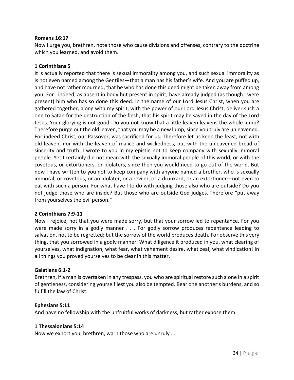## **Romans 16:17**

Now I urge you, brethren, note those who cause divisions and offenses, contrary to the doctrine which you learned, and avoid them.

## **1 Corinthians 5**

It is actually reported that there is sexual immorality among you, and such sexual immorality as is not even named among the Gentiles—that a man has his father's wife. And you are puffed up, and have not rather mourned, that he who has done this deed might be taken away from among you. For I indeed, as absent in body but present in spirit, have already judged (as though I were present) him who has so done this deed. In the name of our Lord Jesus Christ, when you are gathered together, along with my spirit, with the power of our Lord Jesus Christ, deliver such a one to Satan for the destruction of the flesh, that his spirit may be saved in the day of the Lord Jesus. Your glorying is not good. Do you not know that a little leaven leavens the whole lump? Therefore purge out the old leaven, that you may be a new lump, since you truly are unleavened. For indeed Christ, our Passover, was sacrificed for us. Therefore let us keep the feast, not with old leaven, nor with the leaven of malice and wickedness, but with the unleavened bread of sincerity and truth. I wrote to you in my epistle not to keep company with sexually immoral people. Yet I certainly did not mean with the sexually immoral people of this world, or with the covetous, or extortioners, or idolaters, since then you would need to go out of the world. But now I have written to you not to keep company with anyone named a brother, who is sexually immoral, or covetous, or an idolater, or a reviler, or a drunkard, or an extortioner—not even to eat with such a person. For what have I to do with judging those also who are outside? Do you not judge those who are inside? But those who are outside God judges. Therefore "put away from yourselves the evil person."

## **2 Corinthians 7:9-11**

Now I rejoice, not that you were made sorry, but that your sorrow led to repentance. For you were made sorry in a godly manner . . . For godly sorrow produces repentance leading to salvation, not to be regretted; but the sorrow of the world produces death. For observe this very thing, that you sorrowed in a godly manner: What diligence it produced in you, what clearing of yourselves, what indignation, what fear, what vehement desire, what zeal, what vindication! In all things you proved yourselves to be clear in this matter.

## **Galatians 6:1-2**

Brethren, if a man is overtaken in any trespass, you who are spiritual restore such a one in a spirit of gentleness, considering yourself lest you also be tempted. Bear one another's burdens, and so fulfill the law of Christ.

#### **Ephesians 5:11**

And have no fellowship with the unfruitful works of darkness, but rather expose them.

#### **1 Thessalonians 5:14**

Now we exhort you, brethren, warn those who are unruly . . .